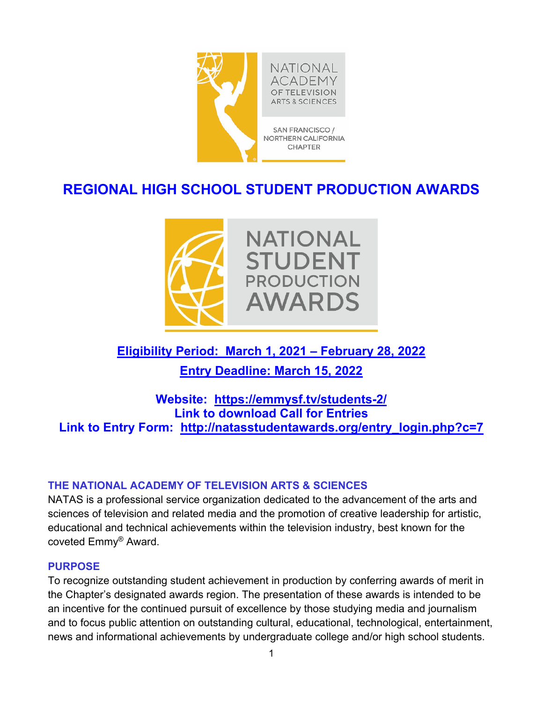

# **REGIONAL HIGH SCHOOL STUDENT PRODUCTION AWARDS**



# **Eligibility Period: March 1, 2021 – February 28, 2022**

**Entry Deadline: March 15, 2022** 

## **Website: https://emmysf.tv/students-2/ Link to download Call for Entries Link to Entry Form: http://natasstudentawards.org/entry\_login.php?c=7**

## **THE NATIONAL ACADEMY OF TELEVISION ARTS & SCIENCES**

NATAS is a professional service organization dedicated to the advancement of the arts and sciences of television and related media and the promotion of creative leadership for artistic, educational and technical achievements within the television industry, best known for the coveted Emmy® Award.

## **PURPOSE**

To recognize outstanding student achievement in production by conferring awards of merit in the Chapter's designated awards region. The presentation of these awards is intended to be an incentive for the continued pursuit of excellence by those studying media and journalism and to focus public attention on outstanding cultural, educational, technological, entertainment, news and informational achievements by undergraduate college and/or high school students.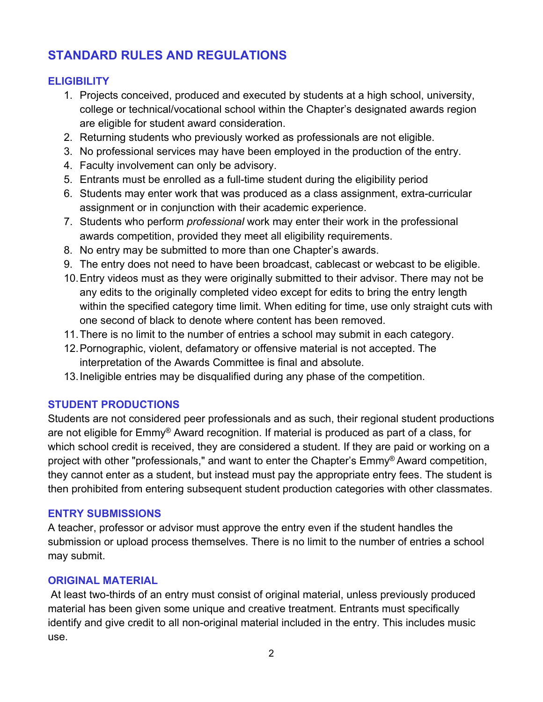# **STANDARD RULES AND REGULATIONS**

## **ELIGIBILITY**

- 1. Projects conceived, produced and executed by students at a high school, university, college or technical/vocational school within the Chapter's designated awards region are eligible for student award consideration.
- 2. Returning students who previously worked as professionals are not eligible.
- 3. No professional services may have been employed in the production of the entry.
- 4. Faculty involvement can only be advisory.
- 5. Entrants must be enrolled as a full-time student during the eligibility period
- 6. Students may enter work that was produced as a class assignment, extra-curricular assignment or in conjunction with their academic experience.
- 7. Students who perform *professional* work may enter their work in the professional awards competition, provided they meet all eligibility requirements.
- 8. No entry may be submitted to more than one Chapter's awards.
- 9. The entry does not need to have been broadcast, cablecast or webcast to be eligible.
- 10. Entry videos must as they were originally submitted to their advisor. There may not be any edits to the originally completed video except for edits to bring the entry length within the specified category time limit. When editing for time, use only straight cuts with one second of black to denote where content has been removed.
- 11. There is no limit to the number of entries a school may submit in each category.
- 12. Pornographic, violent, defamatory or offensive material is not accepted. The interpretation of the Awards Committee is final and absolute.
- 13. Ineligible entries may be disqualified during any phase of the competition.

## **STUDENT PRODUCTIONS**

Students are not considered peer professionals and as such, their regional student productions are not eligible for Emmy® Award recognition. If material is produced as part of a class, for which school credit is received, they are considered a student. If they are paid or working on a project with other "professionals," and want to enter the Chapter's Emmy® Award competition, they cannot enter as a student, but instead must pay the appropriate entry fees. The student is then prohibited from entering subsequent student production categories with other classmates.

## **ENTRY SUBMISSIONS**

A teacher, professor or advisor must approve the entry even if the student handles the submission or upload process themselves. There is no limit to the number of entries a school may submit.

## **ORIGINAL MATERIAL**

At least two-thirds of an entry must consist of original material, unless previously produced material has been given some unique and creative treatment. Entrants must specifically identify and give credit to all non-original material included in the entry. This includes music use.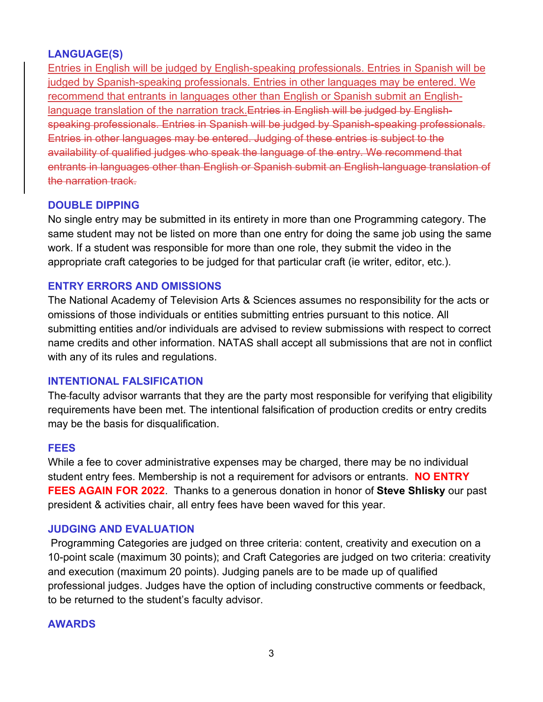## **LANGUAGE(S)**

Entries in English will be judged by English-speaking professionals. Entries in Spanish will be judged by Spanish-speaking professionals. Entries in other languages may be entered. We recommend that entrants in languages other than English or Spanish submit an Englishlanguage translation of the narration track.Entries in English will be judged by Englishspeaking professionals. Entries in Spanish will be judged by Spanish-speaking professionals. Entries in other languages may be entered. Judging of these entries is subject to the availability of qualified judges who speak the language of the entry. We recommend that entrants in languages other than English or Spanish submit an English-language translation of the narration track.

## **DOUBLE DIPPING**

No single entry may be submitted in its entirety in more than one Programming category. The same student may not be listed on more than one entry for doing the same job using the same work. If a student was responsible for more than one role, they submit the video in the appropriate craft categories to be judged for that particular craft (ie writer, editor, etc.).

## **ENTRY ERRORS AND OMISSIONS**

The National Academy of Television Arts & Sciences assumes no responsibility for the acts or omissions of those individuals or entities submitting entries pursuant to this notice. All submitting entities and/or individuals are advised to review submissions with respect to correct name credits and other information. NATAS shall accept all submissions that are not in conflict with any of its rules and regulations.

## **INTENTIONAL FALSIFICATION**

The faculty advisor warrants that they are the party most responsible for verifying that eligibility requirements have been met. The intentional falsification of production credits or entry credits may be the basis for disqualification.

## **FEES**

While a fee to cover administrative expenses may be charged, there may be no individual student entry fees. Membership is not a requirement for advisors or entrants. **NO ENTRY FEES AGAIN FOR 2022**. Thanks to a generous donation in honor of **Steve Shlisky** our past president & activities chair, all entry fees have been waved for this year.

## **JUDGING AND EVALUATION**

Programming Categories are judged on three criteria: content, creativity and execution on a 10-point scale (maximum 30 points); and Craft Categories are judged on two criteria: creativity and execution (maximum 20 points). Judging panels are to be made up of qualified professional judges. Judges have the option of including constructive comments or feedback, to be returned to the student's faculty advisor.

## **AWARDS**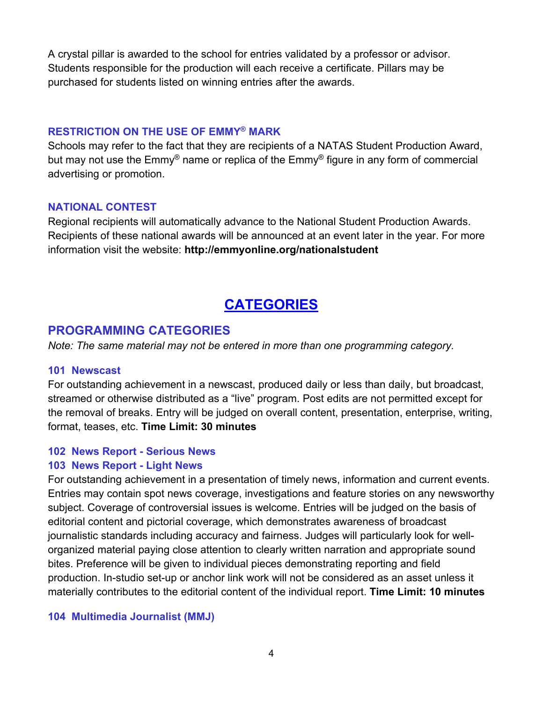A crystal pillar is awarded to the school for entries validated by a professor or advisor. Students responsible for the production will each receive a certificate. Pillars may be purchased for students listed on winning entries after the awards.

#### **RESTRICTION ON THE USE OF EMMY® MARK**

Schools may refer to the fact that they are recipients of a NATAS Student Production Award, but may not use the Emmy<sup>®</sup> name or replica of the Emmy<sup>®</sup> figure in any form of commercial advertising or promotion.

#### **NATIONAL CONTEST**

Regional recipients will automatically advance to the National Student Production Awards. Recipients of these national awards will be announced at an event later in the year. For more information visit the website: **http://emmyonline.org/nationalstudent** 

# **CATEGORIES**

## **PROGRAMMING CATEGORIES**

*Note: The same material may not be entered in more than one programming category.* 

#### **101 Newscast**

For outstanding achievement in a newscast, produced daily or less than daily, but broadcast, streamed or otherwise distributed as a "live" program. Post edits are not permitted except for the removal of breaks. Entry will be judged on overall content, presentation, enterprise, writing, format, teases, etc. **Time Limit: 30 minutes** 

## **102 News Report - Serious News**

#### **103 News Report - Light News**

For outstanding achievement in a presentation of timely news, information and current events. Entries may contain spot news coverage, investigations and feature stories on any newsworthy subject. Coverage of controversial issues is welcome. Entries will be judged on the basis of editorial content and pictorial coverage, which demonstrates awareness of broadcast journalistic standards including accuracy and fairness. Judges will particularly look for wellorganized material paying close attention to clearly written narration and appropriate sound bites. Preference will be given to individual pieces demonstrating reporting and field production. In-studio set-up or anchor link work will not be considered as an asset unless it materially contributes to the editorial content of the individual report. **Time Limit: 10 minutes** 

#### **104 Multimedia Journalist (MMJ)**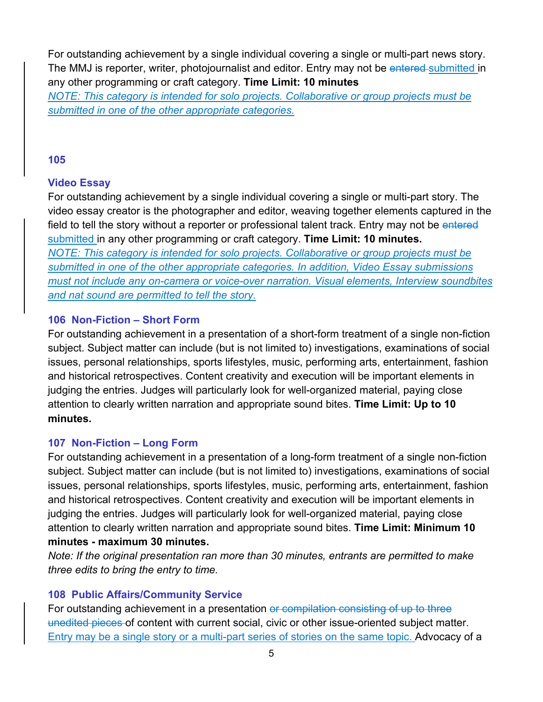For outstanding achievement by a single individual covering a single or multi-part news story. The MMJ is reporter, writer, photojournalist and editor. Entry may not be entered-submitted in any other programming or craft category. **Time Limit: 10 minutes**

*NOTE: This category is intended for solo projects. Collaborative or group projects must be submitted in one of the other appropriate categories.*

#### **105**

## **Video Essay**

For outstanding achievement by a single individual covering a single or multi-part story. The video essay creator is the photographer and editor, weaving together elements captured in the field to tell the story without a reporter or professional talent track. Entry may not be entered submitted in any other programming or craft category. **Time Limit: 10 minutes.** *NOTE: This category is intended for solo projects. Collaborative or group projects must be submitted in one of the other appropriate categories. In addition, Video Essay submissions must not include any on-camera or voice-over narration. Visual elements, Interview soundbites and nat sound are permitted to tell the story.* 

#### **106 Non-Fiction – Short Form**

For outstanding achievement in a presentation of a short-form treatment of a single non-fiction subject. Subject matter can include (but is not limited to) investigations, examinations of social issues, personal relationships, sports lifestyles, music, performing arts, entertainment, fashion and historical retrospectives. Content creativity and execution will be important elements in judging the entries. Judges will particularly look for well-organized material, paying close attention to clearly written narration and appropriate sound bites. **Time Limit: Up to 10 minutes.** 

## **107 Non-Fiction – Long Form**

For outstanding achievement in a presentation of a long-form treatment of a single non-fiction subject. Subject matter can include (but is not limited to) investigations, examinations of social issues, personal relationships, sports lifestyles, music, performing arts, entertainment, fashion and historical retrospectives. Content creativity and execution will be important elements in judging the entries. Judges will particularly look for well-organized material, paying close attention to clearly written narration and appropriate sound bites. **Time Limit: Minimum 10 minutes - maximum 30 minutes.** 

*Note: If the original presentation ran more than 30 minutes, entrants are permitted to make three edits to bring the entry to time.* 

## **108 Public Affairs/Community Service**

For outstanding achievement in a presentation or compilation consisting of up to three unedited pieces of content with current social, civic or other issue-oriented subject matter. Entry may be a single story or a multi-part series of stories on the same topic. Advocacy of a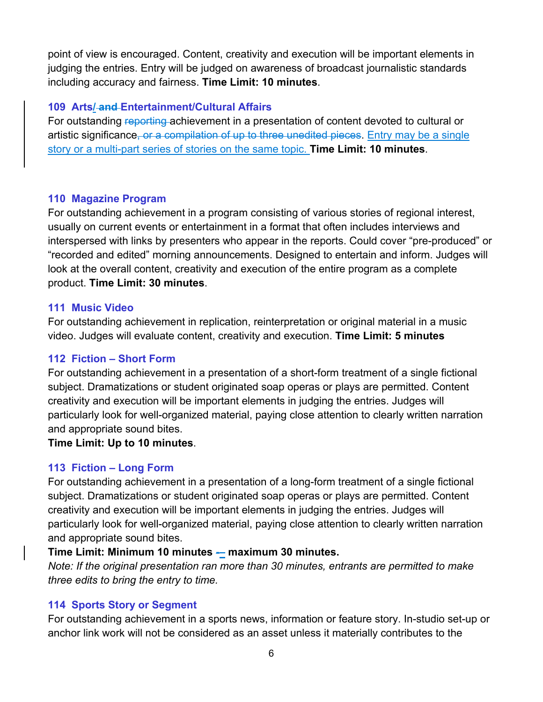point of view is encouraged. Content, creativity and execution will be important elements in judging the entries. Entry will be judged on awareness of broadcast journalistic standards including accuracy and fairness. **Time Limit: 10 minutes**.

#### **109 Arts/ and Entertainment/Cultural Affairs**

For outstanding reporting achievement in a presentation of content devoted to cultural or artistic significance, or a compilation of up to three unedited pieces. Entry may be a single story or a multi-part series of stories on the same topic. **Time Limit: 10 minutes**.

#### **110 Magazine Program**

For outstanding achievement in a program consisting of various stories of regional interest, usually on current events or entertainment in a format that often includes interviews and interspersed with links by presenters who appear in the reports. Could cover "pre-produced" or "recorded and edited" morning announcements. Designed to entertain and inform. Judges will look at the overall content, creativity and execution of the entire program as a complete product. **Time Limit: 30 minutes**.

#### **111 Music Video**

For outstanding achievement in replication, reinterpretation or original material in a music video. Judges will evaluate content, creativity and execution. **Time Limit: 5 minutes** 

#### **112 Fiction – Short Form**

For outstanding achievement in a presentation of a short-form treatment of a single fictional subject. Dramatizations or student originated soap operas or plays are permitted. Content creativity and execution will be important elements in judging the entries. Judges will particularly look for well-organized material, paying close attention to clearly written narration and appropriate sound bites.

#### **Time Limit: Up to 10 minutes**.

## **113 Fiction – Long Form**

For outstanding achievement in a presentation of a long-form treatment of a single fictional subject. Dramatizations or student originated soap operas or plays are permitted. Content creativity and execution will be important elements in judging the entries. Judges will particularly look for well-organized material, paying close attention to clearly written narration and appropriate sound bites.

## **Time Limit: Minimum 10 minutes - maximum 30 minutes.**

*Note: If the original presentation ran more than 30 minutes, entrants are permitted to make three edits to bring the entry to time.* 

## **114 Sports Story or Segment**

For outstanding achievement in a sports news, information or feature story. In-studio set-up or anchor link work will not be considered as an asset unless it materially contributes to the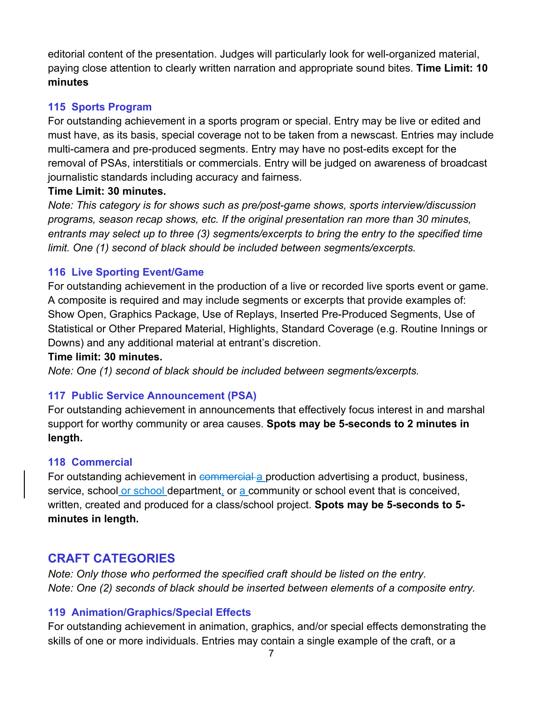editorial content of the presentation. Judges will particularly look for well-organized material, paying close attention to clearly written narration and appropriate sound bites. **Time Limit: 10 minutes** 

## **115 Sports Program**

For outstanding achievement in a sports program or special. Entry may be live or edited and must have, as its basis, special coverage not to be taken from a newscast. Entries may include multi-camera and pre-produced segments. Entry may have no post-edits except for the removal of PSAs, interstitials or commercials. Entry will be judged on awareness of broadcast journalistic standards including accuracy and fairness.

## **Time Limit: 30 minutes.**

*Note: This category is for shows such as pre/post-game shows, sports interview/discussion programs, season recap shows, etc. If the original presentation ran more than 30 minutes, entrants may select up to three (3) segments/excerpts to bring the entry to the specified time limit. One (1) second of black should be included between segments/excerpts.* 

## **116 Live Sporting Event/Game**

For outstanding achievement in the production of a live or recorded live sports event or game. A composite is required and may include segments or excerpts that provide examples of: Show Open, Graphics Package, Use of Replays, Inserted Pre-Produced Segments, Use of Statistical or Other Prepared Material, Highlights, Standard Coverage (e.g. Routine Innings or Downs) and any additional material at entrant's discretion.

## **Time limit: 30 minutes.**

*Note: One (1) second of black should be included between segments/excerpts.*

## **117 Public Service Announcement (PSA)**

For outstanding achievement in announcements that effectively focus interest in and marshal support for worthy community or area causes. **Spots may be 5-seconds to 2 minutes in length.** 

## **118 Commercial**

For outstanding achievement in commercial a production advertising a product, business, service, school or school department, or a community or school event that is conceived, written, created and produced for a class/school project. **Spots may be 5-seconds to 5 minutes in length.** 

## **CRAFT CATEGORIES**

*Note: Only those who performed the specified craft should be listed on the entry. Note: One (2) seconds of black should be inserted between elements of a composite entry.* 

## **119 Animation/Graphics/Special Effects**

For outstanding achievement in animation, graphics, and/or special effects demonstrating the skills of one or more individuals. Entries may contain a single example of the craft, or a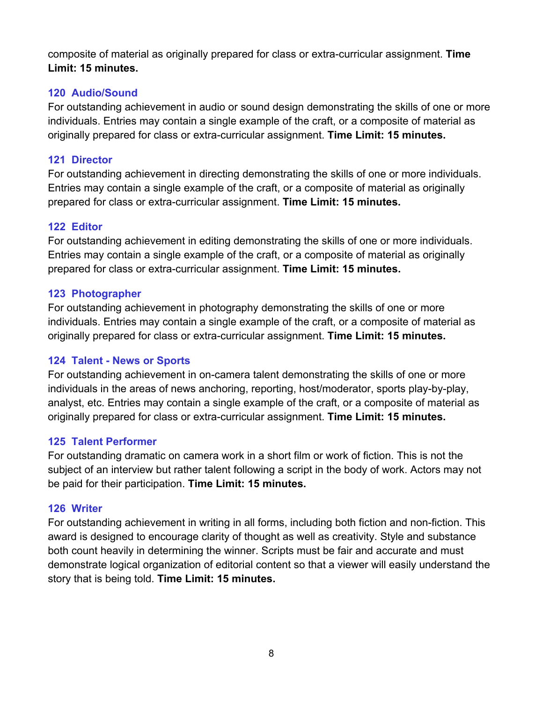composite of material as originally prepared for class or extra-curricular assignment. **Time Limit: 15 minutes.** 

## **120 Audio/Sound**

For outstanding achievement in audio or sound design demonstrating the skills of one or more individuals. Entries may contain a single example of the craft, or a composite of material as originally prepared for class or extra-curricular assignment. **Time Limit: 15 minutes.** 

## **121 Director**

For outstanding achievement in directing demonstrating the skills of one or more individuals. Entries may contain a single example of the craft, or a composite of material as originally prepared for class or extra-curricular assignment. **Time Limit: 15 minutes.** 

## **122 Editor**

For outstanding achievement in editing demonstrating the skills of one or more individuals. Entries may contain a single example of the craft, or a composite of material as originally prepared for class or extra-curricular assignment. **Time Limit: 15 minutes.** 

## **123 Photographer**

For outstanding achievement in photography demonstrating the skills of one or more individuals. Entries may contain a single example of the craft, or a composite of material as originally prepared for class or extra-curricular assignment. **Time Limit: 15 minutes.** 

## **124 Talent - News or Sports**

For outstanding achievement in on-camera talent demonstrating the skills of one or more individuals in the areas of news anchoring, reporting, host/moderator, sports play-by-play, analyst, etc. Entries may contain a single example of the craft, or a composite of material as originally prepared for class or extra-curricular assignment. **Time Limit: 15 minutes.** 

## **125 Talent Performer**

For outstanding dramatic on camera work in a short film or work of fiction. This is not the subject of an interview but rather talent following a script in the body of work. Actors may not be paid for their participation. **Time Limit: 15 minutes.** 

## **126 Writer**

For outstanding achievement in writing in all forms, including both fiction and non-fiction. This award is designed to encourage clarity of thought as well as creativity. Style and substance both count heavily in determining the winner. Scripts must be fair and accurate and must demonstrate logical organization of editorial content so that a viewer will easily understand the story that is being told. **Time Limit: 15 minutes.**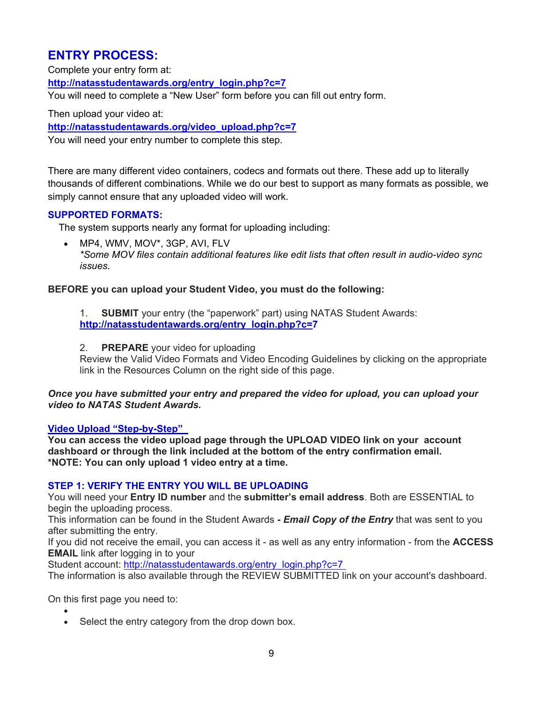## **ENTRY PROCESS:**

Complete your entry form at: **http://natasstudentawards.org/entry\_login.php?c=7** You will need to complete a "New User" form before you can fill out entry form.

Then upload your video at:

**http://natasstudentawards.org/video\_upload.php?c=7**

You will need your entry number to complete this step.

There are many different video containers, codecs and formats out there. These add up to literally thousands of different combinations. While we do our best to support as many formats as possible, we simply cannot ensure that any uploaded video will work.

#### **SUPPORTED FORMATS:**

The system supports nearly any format for uploading including:

 MP4, WMV, MOV\*, 3GP, AVI, FLV *\*Some MOV files contain additional features like edit lists that often result in audio-video sync issues.*

#### **BEFORE you can upload your Student Video, you must do the following:**

- 1. **SUBMIT** your entry (the "paperwork" part) using NATAS Student Awards: **http://natasstudentawards.org/entry\_login.php?c=7**
- 2. **PREPARE** your video for uploading

Review the Valid Video Formats and Video Encoding Guidelines by clicking on the appropriate link in the Resources Column on the right side of this page.

*Once you have submitted your entry and prepared the video for upload, you can upload your video to NATAS Student Awards.*

#### **Video Upload "Step-by-Step"**

**You can access the video upload page through the UPLOAD VIDEO link on your account dashboard or through the link included at the bottom of the entry confirmation email. \*NOTE: You can only upload 1 video entry at a time.**

#### **STEP 1: VERIFY THE ENTRY YOU WILL BE UPLOADING**

You will need your **Entry ID number** and the **submitter's email address**. Both are ESSENTIAL to begin the uploading process.

This information can be found in the Student Awards *- Email Copy of the Entry* that was sent to you after submitting the entry.

If you did not receive the email, you can access it - as well as any entry information - from the **ACCESS EMAIL** link after logging in to your

Student account: http://natasstudentawards.org/entry\_login.php?c=7

The information is also available through the REVIEW SUBMITTED link on your account's dashboard.

On this first page you need to:

 $\bullet$ • Select the entry category from the drop down box.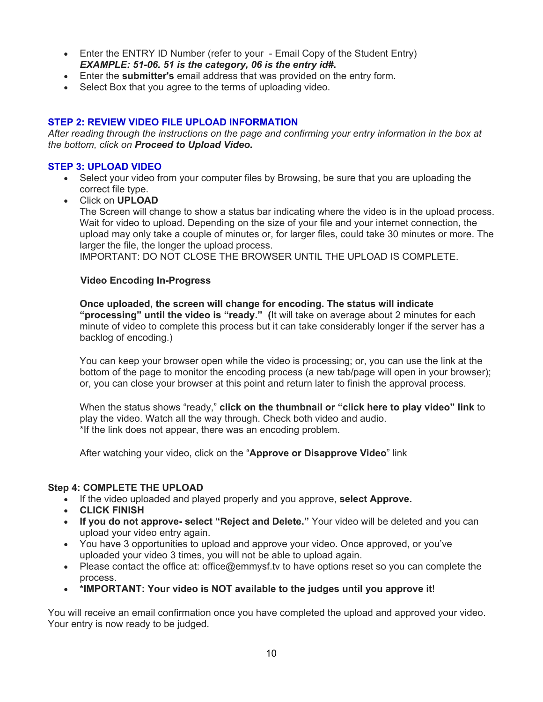- Enter the ENTRY ID Number (refer to your Email Copy of the Student Entry) *EXAMPLE: 51-06. 51 is the category, 06 is the entry id#***.**
- Enter the **submitter's** email address that was provided on the entry form.
- Select Box that you agree to the terms of uploading video.

#### **STEP 2: REVIEW VIDEO FILE UPLOAD INFORMATION**

*After reading through the instructions on the page and confirming your entry information in the box at the bottom, click on Proceed to Upload Video.*

#### **STEP 3: UPLOAD VIDEO**

- Select your video from your computer files by Browsing, be sure that you are uploading the correct file type.
- Click on **UPLOAD**

The Screen will change to show a status bar indicating where the video is in the upload process. Wait for video to upload. Depending on the size of your file and your internet connection, the upload may only take a couple of minutes or, for larger files, could take 30 minutes or more. The larger the file, the longer the upload process.

IMPORTANT: DO NOT CLOSE THE BROWSER UNTIL THE UPLOAD IS COMPLETE.

#### **Video Encoding In-Progress**

**Once uploaded, the screen will change for encoding. The status will indicate "processing" until the video is "ready." (**It will take on average about 2 minutes for each minute of video to complete this process but it can take considerably longer if the server has a backlog of encoding.)

You can keep your browser open while the video is processing; or, you can use the link at the bottom of the page to monitor the encoding process (a new tab/page will open in your browser); or, you can close your browser at this point and return later to finish the approval process.

When the status shows "ready," **click on the thumbnail or "click here to play video" link** to play the video. Watch all the way through. Check both video and audio. \*If the link does not appear, there was an encoding problem.

After watching your video, click on the "**Approve or Disapprove Video**" link

#### **Step 4: COMPLETE THE UPLOAD**

- If the video uploaded and played properly and you approve, **select Approve.**
- **CLICK FINISH**
- **If you do not approve- select "Reject and Delete."** Your video will be deleted and you can upload your video entry again.
- You have 3 opportunities to upload and approve your video. Once approved, or you've uploaded your video 3 times, you will not be able to upload again.
- Please contact the office at: office@emmysf.ty to have options reset so you can complete the process.
- **\*IMPORTANT: Your video is NOT available to the judges until you approve it**!

You will receive an email confirmation once you have completed the upload and approved your video. Your entry is now ready to be judged.